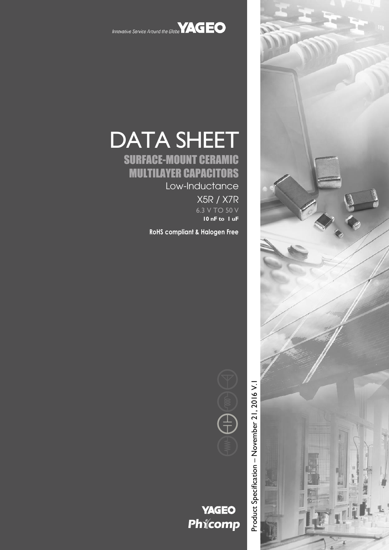

Innovative Service Around the Globe **YAGEO** 

## DATA SHEET SURFACE-MOUNT CERAMIC

# MULTILAYER CAPACITORS

Low-Inductance

X5R / X7R 6.3 V TO 50 V **10 nF to 1 uF**

**RoHS compliant & Halogen Free**



### **YAGEO** Phicomp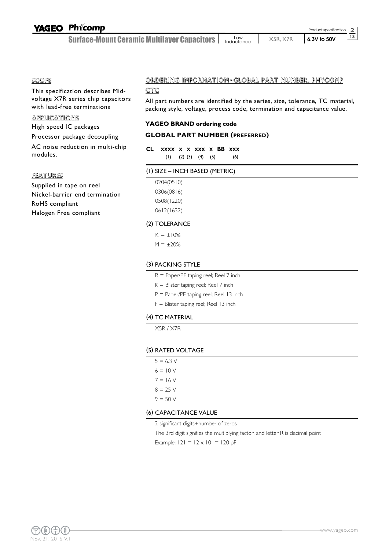#### SCOPE

This specification describes Midvoltage X7R series chip capacitors with lead-free terminations

#### **APPLICATIONS**

High speed IC packages

Processor package decoupling

AC noise reduction in multi-chip modules.

#### FEATURES

Supplied in tape on reel Nickel-barrier end termination RoHS compliant Halogen Free compliant

#### ORDERING INFORMATION - GLOBAL PART NUMBER, PHYCOMP

#### CTC

All part numbers are identified by the series, size, tolerance, TC material, packing style, voltage, process code, termination and capacitance value.

#### **YAGEO BRAND ordering code**

#### **GLOBAL PART NUMBER (PREFERRED)**

#### **CL XXXX X X XXX X BB XXX** (1) (2) (3) (4) (5) (6)

#### (1) SIZE – INCH BASED (METRIC)

0204(0510) 0306(0816) 0508(1220) 0612(1632)

#### (2) TOLERANCE

 $K = \pm 10\%$  $M = \pm 20%$ 

#### (3) PACKING STYLE

- R = Paper/PE taping reel; Reel 7 inch
- $K =$  Blister taping reel; Reel 7 inch
- P = Paper/PE taping reel; Reel 13 inch
- F = Blister taping reel; Reel 13 inch

#### (4) TC MATERIAL

X5R / X7R

#### (5) RATED VOLTAGE

 $5 = 6.3 V$  $6 = 10 V$  $7 = 16 V$  $8 = 25 V$  $9 = 50 V$ 

#### (6) CAPACITANCE VALUE

2 significant digits+number of zeros

The 3rd digit signifies the multiplying factor, and letter R is decimal point

Example:  $121 = 12 \times 10^{1} = 120$  pF



2  $\frac{1}{13}$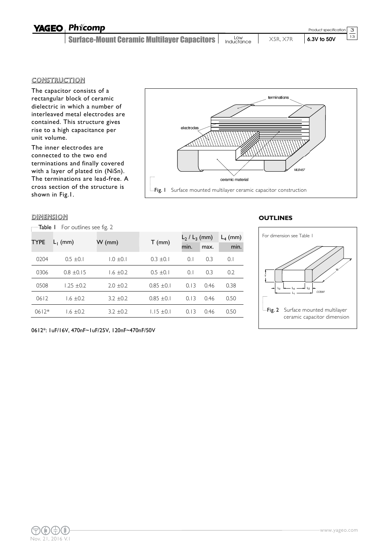| <b>YAGEO Phicomp</b>                                 |                   |          | Product specification 3 |             |
|------------------------------------------------------|-------------------|----------|-------------------------|-------------|
| <b>Surface-Mount Ceramic Multilayer Capacitors  </b> | Low<br>Inductance | X5R. X7R | 6.3V to 50V             | $\sqrt{13}$ |

#### **CONSTRUCTION**

The capacitor consists of a rectangular block of ceramic dielectric in which a number of interleaved metal electrodes are contained. This structure gives rise to a high capacitance per unit volume.

The inner electrodes are connected to the two end terminations and finally covered with a layer of plated tin (NiSn). The terminations are lead-free. A cross section of the structure is shown in Fig.1.

#### DIMENSION **OUTLINES**

Table I For outlines see fig. 2



| <b>TYPE</b> |                |               |                | $L_2$ / $L_3$ (mm) | $L_4$ (mm) |      |
|-------------|----------------|---------------|----------------|--------------------|------------|------|
|             | $L_1$ (mm)     | $W$ (mm)      | $T$ (mm)       | min.               | max.       | min. |
| 0204        | $0.5 \pm 0.1$  | 1.0 ±0.1      | $0.3 \pm 0.1$  | 0.1                | 0.3        | 0.1  |
| 0306        | $0.8 \pm 0.15$ | $1.6 \pm 0.2$ | $0.5 \pm 0.1$  | 0.1                | 0.3        | 0.2  |
| 0508        | $1.25 \pm 0.2$ | $2.0 \pm 0.2$ | $0.85 \pm 0.1$ | 0.13               | 0.46       | 0.38 |
| 0612        | $1.6 \pm 0.2$  | $3.2 \pm 0.2$ | $0.85 \pm 0.1$ | 0.13               | 0.46       | 0.50 |
| $0612*$     | $1.6 \pm 0.2$  | $3.2 + 0.2$   | $1.15 \pm 0.1$ | 0.13               | 0.46       | 0.50 |



0612\*: 1uF/16V, 470nF~1uF/25V, 120nF~470nF/50V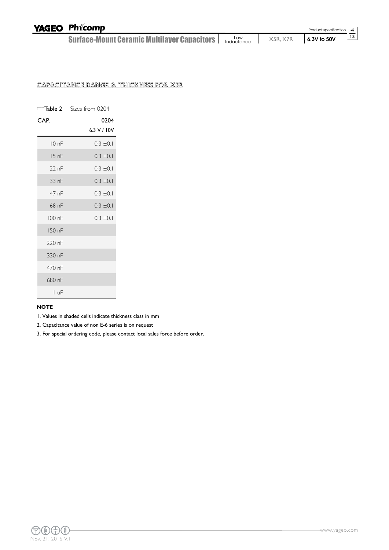| <b>YAGEO Phicomp</b>                        |                   |          | Product specification 4 |                 |
|---------------------------------------------|-------------------|----------|-------------------------|-----------------|
| Surface-Mount Ceramic Multilayer Capacitors | Low<br>Inductance | X5R, X7R | $6.3V$ to 50V           | $\overline{13}$ |

#### CAPACITANCE RANGE & THICKNESS FOR X5R

|         | <b>Table 2</b> Sizes from 0204 |
|---------|--------------------------------|
| CAP.    | 0204<br>6.3 V / 10V            |
|         |                                |
| 10nF    | $0.3 \pm 0.1$                  |
| 15nF    | $0.3 \pm 0.1$                  |
| $22$ nF | $0.3 \pm 0.1$                  |
| 33 nF   | $0.3 \pm 0.1$                  |
| 47 nF   | $0.3 \pm 0.1$                  |
| 68 nF   | $0.3 \pm 0.1$                  |
| 100 nF  | $0.3 \pm 0.1$                  |
| 150 nF  |                                |
| 220 nF  |                                |
| 330 nF  |                                |
| 470 nF  |                                |
| 680 nF  |                                |
| LuF     |                                |

#### **NOTE**

1. Values in shaded cells indicate thickness class in mm

2. Capacitance value of non E-6 series is on request

3. For special ordering code, please contact local sales force before order.

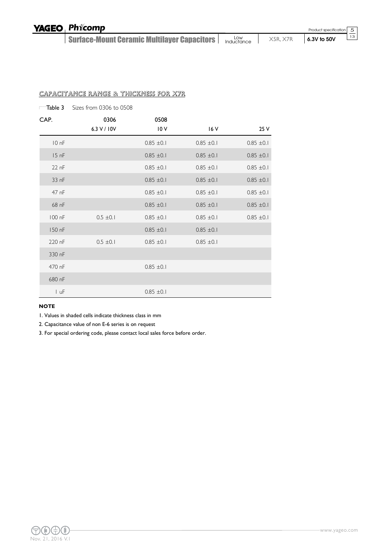Product specification

#### 5

13

#### CAPACITANCE RANGE & THICKNESS FOR X7R

|                  | $\Box$ Table 3 Sizes from 0306 to 0508 |                |                |                |
|------------------|----------------------------------------|----------------|----------------|----------------|
| CAP.             | 0306                                   | 0508           |                |                |
|                  | 6.3 V / 10V                            | 10V            | 16 V           | 25 V           |
| 10 <sub>nf</sub> |                                        | $0.85 \pm 0.1$ | $0.85 \pm 0.1$ | $0.85 \pm 0.1$ |
| 15 <sub>nf</sub> |                                        | $0.85 \pm 0.1$ | $0.85 \pm 0.1$ | $0.85 \pm 0.1$ |
| 22 nF            |                                        | $0.85 \pm 0.1$ | $0.85 \pm 0.1$ | $0.85 \pm 0.1$ |
| 33 nF            |                                        | $0.85 \pm 0.1$ | $0.85 \pm 0.1$ | $0.85 \pm 0.1$ |
| 47 nF            |                                        | $0.85 \pm 0.1$ | $0.85 \pm 0.1$ | $0.85 \pm 0.1$ |
| 68 nF            |                                        | $0.85 \pm 0.1$ | $0.85 \pm 0.1$ | $0.85 \pm 0.1$ |
| 100 nF           | $0.5 \pm 0.1$                          | $0.85 \pm 0.1$ | $0.85 \pm 0.1$ | $0.85 \pm 0.1$ |
| 150 nF           |                                        | $0.85 \pm 0.1$ | $0.85 \pm 0.1$ |                |
| 220 nF           | $0.5 \pm 0.1$                          | $0.85 \pm 0.1$ | $0.85 \pm 0.1$ |                |
| 330 nF           |                                        |                |                |                |
| 470 nF           |                                        | $0.85 \pm 0.1$ |                |                |
| 680 nF           |                                        |                |                |                |
| I uF             |                                        | $0.85 \pm 0.1$ |                |                |

#### **NOTE**

1. Values in shaded cells indicate thickness class in mm

2. Capacitance value of non E-6 series is on request

3. For special ordering code, please contact local sales force before order.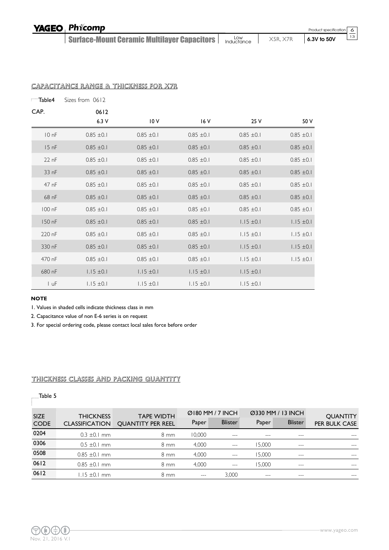### YAGEO Phicomp

Surface-Mount Ceramic Multilayer Capacitors Low Low **X5R, X7R 6.3V to 50V**   $\frac{6}{1}$  $\overline{13}$ 

Table4 Sizes from 0612 CAP. 0612 6.3 V 10 V 16 V 25 V 50 V  $10 \text{ nF}$  0.85  $\pm 0.1$  0.85  $\pm 0.1$  0.85  $\pm 0.1$  0.85  $\pm 0.1$  0.85  $\pm 0.1$  0.85  $\pm 0.1$  $15 \text{ nF}$  0.85  $\pm$ 0.1 0.85  $\pm$ 0.1 0.85  $\pm$ 0.1 0.85  $\pm$ 0.1 0.85  $\pm$ 0.1 22 nF  $0.85 \pm 0.1$   $0.85 \pm 0.1$   $0.85 \pm 0.1$   $0.85 \pm 0.1$   $0.85 \pm 0.1$ 33 nF  $0.85 \pm 0.1$   $0.85 \pm 0.1$   $0.85 \pm 0.1$   $0.85 \pm 0.1$   $0.85 \pm 0.1$ 47 nF  $0.85 \pm 0.1$   $0.85 \pm 0.1$   $0.85 \pm 0.1$   $0.85 \pm 0.1$   $0.85 \pm 0.1$ 68 nF  $0.85 \pm 0.1$   $0.85 \pm 0.1$   $0.85 \pm 0.1$   $0.85 \pm 0.1$   $0.85 \pm 0.1$  $100 \text{ nF}$   $0.85 \pm 0.1$   $0.85 \pm 0.1$   $0.85 \pm 0.1$   $0.85 \pm 0.1$   $0.85 \pm 0.1$  $150 \text{ nF}$   $0.85 \pm 0.1$   $0.85 \pm 0.1$   $0.85 \pm 0.1$   $1.15 \pm 0.1$   $1.15 \pm 0.1$ 220 nF  $0.85 \pm 0.1$   $0.85 \pm 0.1$   $0.85 \pm 0.1$   $0.85 \pm 0.1$   $1.15 \pm 0.1$   $1.15 \pm 0.1$ 330 nF  $0.85 \pm 0.1$   $0.85 \pm 0.1$   $0.85 \pm 0.1$   $0.85 \pm 0.1$   $1.15 \pm 0.1$   $1.15 \pm 0.1$ 470 nF  $0.85 \pm 0.1$   $0.85 \pm 0.1$   $0.85 \pm 0.1$   $0.85 \pm 0.1$   $1.15 \pm 0.1$   $1.15 \pm 0.1$ 680 nF 1.15  $\pm$  0.1 1.15  $\pm$  0.1 1.15  $\pm$  0.1 1.15  $\pm$  0.1 1.15  $\pm$  0.1 1 uF 1.15 ± 0.1 1.15 ± 0.1 1.15 ± 0.1 1.15 ± 0.1 1.15 ± 0.1

#### CAPACITANCE RANGE & THICKNESS FOR X7R

#### **NOTE**

1. Values in shaded cells indicate thickness class in mm

2. Capacitance value of non E-6 series is on request

3. For special ordering code, please contact local sales force before order

#### THICKNESS CLASSES AND PACKING QUANTITY

#### Table 5

| <b>SIZE</b> | <b>THICKNESS</b>      | <b>TAPE WIDTH</b>        |        | $Q$ 180 MM / 7 INCH |        | Ø330 MM / 13 INCH         | <b>QUANTITY</b>      |
|-------------|-----------------------|--------------------------|--------|---------------------|--------|---------------------------|----------------------|
| <b>CODE</b> | <b>CLASSIFICATION</b> | <b>OUANTITY PER REEL</b> | Paper  | <b>Blister</b>      | Paper  | <b>Blister</b>            | <b>PER BULK CASE</b> |
| 0204        | $0.3 \pm 0.1$ mm      | 8 mm                     | 10,000 |                     |        | ---                       |                      |
| 0306        | $0.5 \pm 0.1$ mm      | $8 \text{ mm}$           | 4.000  | $\frac{1}{2}$       | 15.000 | $\qquad \qquad -\qquad -$ | $\cdots$             |
| 0508        | $0.85 \pm 0.1$ mm     | $8 \text{ mm}$           | 4.000  | $---$               | 15.000 | $\qquad \qquad -$         | $\frac{1}{2}$        |
| 0612        | $0.85 \pm 0.1$ mm     | 8 mm                     | 4.000  | $---$               | 15.000 | $\qquad \qquad -\qquad -$ | $- - -$              |
| 0612        | $1.15 \pm 0.1$ mm     | 8 mm                     | $---$  | 3.000               | $---$  | ---                       | $---$                |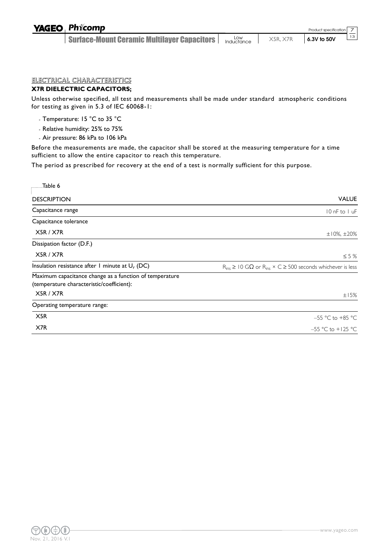#### ELECTRICAL CHARACTERISTICS

#### **X7R DIELECTRIC CAPACITORS;**

Unless otherwise specified, all test and measurements shall be made under standard atmospheric conditions for testing as given in 5.3 of IEC 60068-1:

- Temperature: 15 °C to 35 °C
- Relative humidity: 25% to 75%
- Air pressure: 86 kPa to 106 kPa

Before the measurements are made, the capacitor shall be stored at the measuring temperature for a time sufficient to allow the entire capacitor to reach this temperature.

The period as prescribed for recovery at the end of a test is normally sufficient for this purpose.

| Table 6                                                                                              |                                                                                     |
|------------------------------------------------------------------------------------------------------|-------------------------------------------------------------------------------------|
| <b>DESCRIPTION</b>                                                                                   | <b>VALUE</b>                                                                        |
| Capacitance range                                                                                    | 10 nF to 1 uF                                                                       |
| Capacitance tolerance                                                                                |                                                                                     |
| X5R / X7R                                                                                            | $±10\%$ , $±20\%$                                                                   |
| Dissipation factor (D.F.)                                                                            |                                                                                     |
| X5R / X7R                                                                                            | $\leq$ 5 %                                                                          |
| Insulation resistance after 1 minute at $U_r$ (DC)                                                   | $R_{ins} \ge 10$ G $\Omega$ or $R_{ins} \times C \ge 500$ seconds whichever is less |
| Maximum capacitance change as a function of temperature<br>(temperature characteristic/coefficient): |                                                                                     |
| X5R / X7R                                                                                            | ±15%                                                                                |
| Operating temperature range:                                                                         |                                                                                     |
| X <sub>5R</sub>                                                                                      | $-55$ °C to +85 °C                                                                  |
| X7R                                                                                                  | $-55$ °C to $+125$ °C                                                               |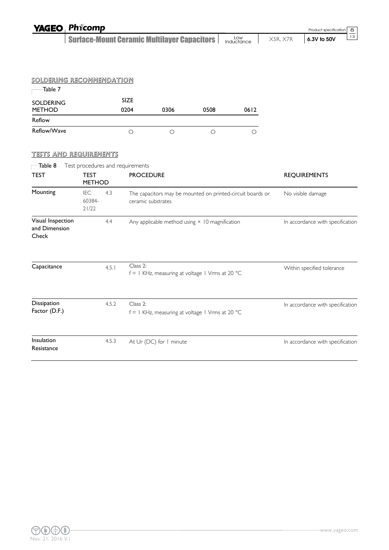| <b>YAGEO Phicomp</b>                        |                                  |       |                     |                                                    |                                                            |                   |          | Product specification            | 8  |
|---------------------------------------------|----------------------------------|-------|---------------------|----------------------------------------------------|------------------------------------------------------------|-------------------|----------|----------------------------------|----|
|                                             |                                  |       |                     | <b>Surface-Mount Ceramic Multilayer Capacitors</b> |                                                            | Low<br>Inductance | X5R, X7R | 6.3V to 50V                      | 13 |
|                                             |                                  |       |                     |                                                    |                                                            |                   |          |                                  |    |
|                                             |                                  |       |                     |                                                    |                                                            |                   |          |                                  |    |
| <u>SOLDERING RECOMMENDATION</u>             |                                  |       |                     |                                                    |                                                            |                   |          |                                  |    |
| Table 7                                     |                                  |       |                     |                                                    |                                                            |                   |          |                                  |    |
| <b>SOLDERING</b><br>METHOD                  |                                  |       | <b>SIZE</b><br>0204 | 0306                                               | 0508                                                       | 0612              |          |                                  |    |
| Reflow                                      |                                  |       |                     |                                                    |                                                            |                   |          |                                  |    |
| Reflow/Wave                                 |                                  |       | $\bigcirc$          | $\bigcirc$                                         | $\bigcirc$                                                 | $\circ$           |          |                                  |    |
| <u>TESTS AND REQUIREMENTS</u>               |                                  |       |                     |                                                    |                                                            |                   |          |                                  |    |
| Table 8                                     | Test procedures and requirements |       |                     |                                                    |                                                            |                   |          |                                  |    |
| <b>TEST</b>                                 | TEST<br><b>METHOD</b>            |       | <b>PROCEDURE</b>    |                                                    |                                                            |                   |          | <b>REQUIREMENTS</b>              |    |
| Mounting                                    | <b>IEC</b><br>60384-<br>21/22    | 4.3   |                     | ceramic substrates                                 | The capacitors may be mounted on printed-circuit boards or |                   |          | No visible damage                |    |
| Visual Inspection<br>and Dimension<br>Check |                                  | 4.4   |                     |                                                    | Any applicable method using × 10 magnification             |                   |          | In accordance with specification |    |
| Capacitance                                 |                                  | 4.5.1 | Class 2:            |                                                    | $f = I$ KHz, measuring at voltage I Vrms at 20 °C          |                   |          | Within specified tolerance       |    |
| Dissipation<br>Factor (D.F.)                |                                  | 4.5.2 | Class 2:            |                                                    | $f = I$ KHz, measuring at voltage I Vrms at 20 °C          |                   |          | In accordance with specification |    |
| Insulation<br>Resistance                    |                                  | 4.5.3 |                     | At Ur (DC) for I minute                            |                                                            |                   |          | In accordance with specification |    |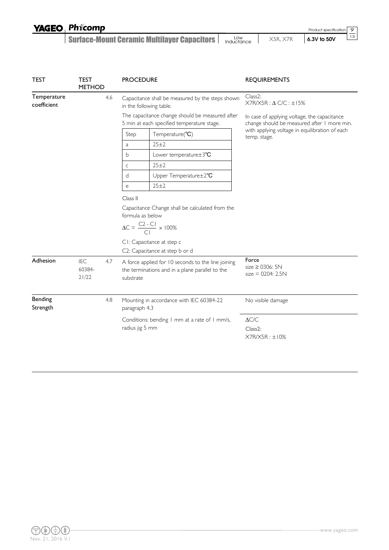| <b>YAGEO Phicomp</b>                                 |                   |          | Product specification 9 |    |
|------------------------------------------------------|-------------------|----------|-------------------------|----|
| <b>Surface-Mount Ceramic Multilayer Capacitors  </b> | Low<br>Inductance | X5R. X7R | $6.3V$ to 50V           | 13 |

| <b>TEST</b>                | <b>TEST</b><br><b>METHOD</b>  |  | <b>PROCEDURE</b>                                                                                                                                                                                                                                                                                                     | <b>REQUIREMENTS</b>                                                                         |
|----------------------------|-------------------------------|--|----------------------------------------------------------------------------------------------------------------------------------------------------------------------------------------------------------------------------------------------------------------------------------------------------------------------|---------------------------------------------------------------------------------------------|
| Temperature<br>coefficient | 4.6                           |  | Capacitance shall be measured by the steps shown<br>in the following table.                                                                                                                                                                                                                                          | Class2:<br>$X7R/X5R : \Delta$ C/C : $\pm$ 15%                                               |
|                            |                               |  | The capacitance change should be measured after<br>5 min at each specified temperature stage.                                                                                                                                                                                                                        | In case of applying voltage, the capacitance<br>change should be measured after I more min. |
|                            |                               |  | Temperature(°C)<br>Step                                                                                                                                                                                                                                                                                              | with applying voltage in equilibration of each<br>temp. stage.                              |
|                            |                               |  | 25±2<br>a                                                                                                                                                                                                                                                                                                            |                                                                                             |
|                            |                               |  | Lower temperature±3°C<br>b                                                                                                                                                                                                                                                                                           |                                                                                             |
|                            |                               |  | 25±2<br>$\mathsf C$                                                                                                                                                                                                                                                                                                  |                                                                                             |
|                            |                               |  | Upper Temperature±2°C<br>d                                                                                                                                                                                                                                                                                           |                                                                                             |
|                            |                               |  | 25±2<br>e                                                                                                                                                                                                                                                                                                            |                                                                                             |
| Adhesion                   | IEC<br>4.7<br>60384-<br>21/22 |  | Class II<br>Capacitance Change shall be calculated from the<br>formula as below<br>$\Delta C = \frac{C2 - C1}{C1} \times 100\%$<br>CI: Capacitance at step c<br>C2: Capacitance at step b or d<br>A force applied for 10 seconds to the line joining<br>the terminations and in a plane parallel to the<br>substrate | Force<br>size $\geq$ 0306: 5N<br>$size = 0204: 2.5N$                                        |
| Bending<br>Strength        | 4.8                           |  | Mounting in accordance with IEC 60384-22<br>paragraph 4.3<br>Conditions: bending I mm at a rate of I mm/s,<br>radius jig 5 mm                                                                                                                                                                                        | No visible damage<br>$\Delta{\text{C/C}}$<br>Class2:<br>X7R/X5R: ±10%                       |

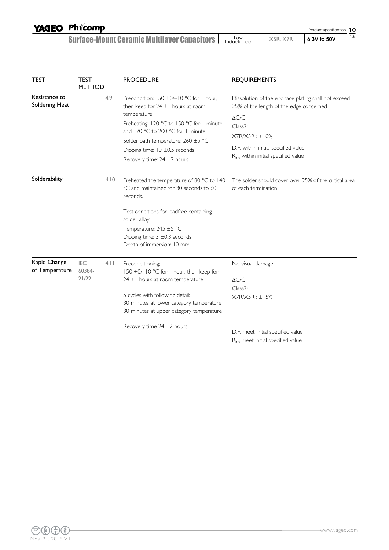| <b>YAGEO Phicomp</b>                        |                   |          | Product specification   1 0 |
|---------------------------------------------|-------------------|----------|-----------------------------|
| Surface-Mount Ceramic Multilayer Capacitors | Low<br>Inductance | X5R. X7R | 13 <br>6.3V to 50V          |

| <b>TEST</b>                     | <b>TEST</b><br><b>METHOD</b> | <b>PROCEDURE</b>                                                                                                                                                                                                                                                                              | <b>REQUIREMENTS</b>                                                                                                                      |
|---------------------------------|------------------------------|-----------------------------------------------------------------------------------------------------------------------------------------------------------------------------------------------------------------------------------------------------------------------------------------------|------------------------------------------------------------------------------------------------------------------------------------------|
| Resistance to<br>Soldering Heat | 4.9                          | Precondition: 150 +0/-10 °C for 1 hour,<br>then keep for $24 \pm 1$ hours at room<br>temperature<br>Preheating: 120 °C to 150 °C for 1 minute<br>and 170 °C to 200 °C for 1 minute.<br>Solder bath temperature: 260 ±5 °C<br>Dipping time: $10 \pm 0.5$ seconds<br>Recovery time: 24 ±2 hours | Dissolution of the end face plating shall not exceed<br>25% of the length of the edge concerned                                          |
|                                 |                              |                                                                                                                                                                                                                                                                                               | $\Delta{\rm C/C}$<br>Class <sub>2</sub> :<br>X7R/X5R: ±10%<br>D.F. within initial specified value<br>Rins within initial specified value |
| Solderability                   | 4.10                         | Preheated the temperature of 80 °C to 140<br>°C and maintained for 30 seconds to 60<br>seconds.                                                                                                                                                                                               | The solder should cover over 95% of the critical area<br>of each termination                                                             |
|                                 |                              | Test conditions for leadfree containing<br>solder alloy<br>Temperature: 245 ±5 °C<br>Dipping time: $3 \pm 0.3$ seconds<br>Depth of immersion: 10 mm                                                                                                                                           |                                                                                                                                          |
| Rapid Change<br>of Temperature  | IEC<br>4.11<br>60384-        | Preconditioning;<br>150 +0/-10 °C for 1 hour, then keep for                                                                                                                                                                                                                                   | No visual damage                                                                                                                         |
|                                 | 21/22                        | $24 \pm 1$ hours at room temperature<br>5 cycles with following detail:<br>30 minutes at lower category temperature<br>30 minutes at upper category temperature                                                                                                                               | $\Delta C/C$<br>Class <sub>2</sub> :<br>X7R/X5R: ±15%                                                                                    |
|                                 |                              | Recovery time 24 ±2 hours                                                                                                                                                                                                                                                                     | D.F. meet initial specified value<br>R <sub>ins</sub> meet initial specified value                                                       |

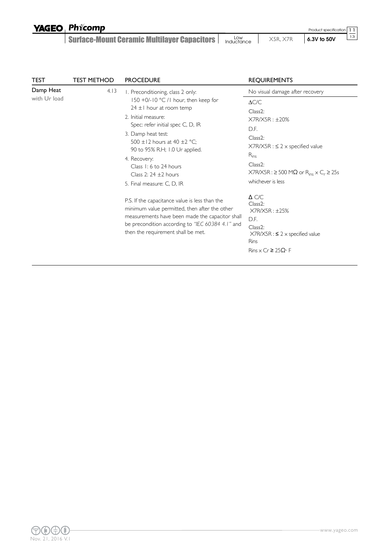|  | <b>YAGEO Phicomp</b> |
|--|----------------------|
|--|----------------------|

Surface-Mount Ceramic Multilayer Capacitors | **Inductance | X5R, X7R | 6.3V to 50V** 

11 13 Product specification

| TEST                      | TEST METHOD | <b>PROCEDURE</b>                                                                                                                                                                                                                                                                                                            | <b>REQUIREMENTS</b>                                                                                                                                                                                                                           |  |
|---------------------------|-------------|-----------------------------------------------------------------------------------------------------------------------------------------------------------------------------------------------------------------------------------------------------------------------------------------------------------------------------|-----------------------------------------------------------------------------------------------------------------------------------------------------------------------------------------------------------------------------------------------|--|
| Damp Heat<br>with Ur load | 4.13        | I. Preconditioning, class 2 only:                                                                                                                                                                                                                                                                                           | No visual damage after recovery                                                                                                                                                                                                               |  |
|                           |             | 150 +0/-10 °C /1 hour, then keep for<br>$24 \pm 1$ hour at room temp<br>2. Initial measure:<br>Spec: refer initial spec C, D, IR<br>3. Damp heat test:<br>500 ±12 hours at 40 ±2 °C;<br>90 to 95% R.H; 1.0 Ur applied.<br>4. Recovery:<br>Class 1: 6 to 24 hours<br>Class 2: $24 \pm 2$ hours<br>5. Final measure: C, D, IR | $\Delta C/C$<br>Class <sub>2</sub> :<br>$X7R/X5R : \pm 20\%$<br>D.F.<br>$Class2$ :<br>$X7R/X5R : S 2 \times specified$ value<br>$R_{ins}$<br>$Class2$ :<br>$X7R/X5R : \geq 500 M\Omega$ or $R_{inc} \times C_r \geq 25s$<br>whichever is less |  |
|                           |             | P.S. If the capacitance value is less than the<br>minimum value permitted, then after the other<br>measurements have been made the capacitor shall<br>be precondition according to "IEC 60384 4.1" and<br>then the requirement shall be met.                                                                                | $\Delta$ C/C<br>Class <sub>2</sub> :<br>X7R/X5R: ±25%<br>D.F.<br>$Class2$ :<br>$X7R/X5R : S 2 \times specified$ value<br><b>Rins</b><br>$Rins \times Cr \geq 25\Omega \cdot F$                                                                |  |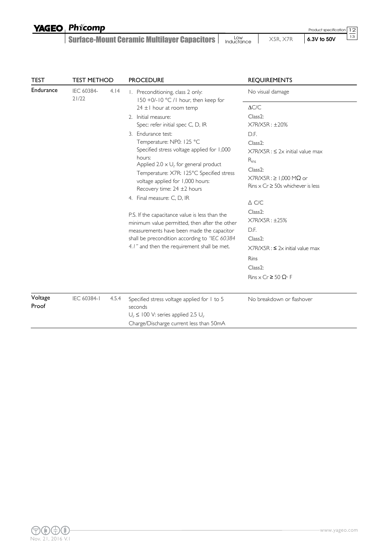| <b>YAGEO Phicomp</b>                        |                   |          | Product specification 12   |
|---------------------------------------------|-------------------|----------|----------------------------|
| Surface-Mount Ceramic Multilayer Capacitors | Low<br>Inductance | X5R. X7R | $\sqrt{13}$<br>6.3V to 50V |

| TEST      | TEST METHOD         |       | <b>PROCEDURE</b>                                                                           | <b>REQUIREMENTS</b>                                           |  |
|-----------|---------------------|-------|--------------------------------------------------------------------------------------------|---------------------------------------------------------------|--|
| Endurance | IEC 60384-<br>21/22 | 4.14  | 1. Preconditioning, class 2 only:<br>$150 + 0/-10$ °C /1 hour, then keep for               | No visual damage                                              |  |
|           |                     |       | $24 \pm 1$ hour at room temp                                                               | $\Delta C/C$                                                  |  |
|           |                     |       | 2. Initial measure:                                                                        | Class <sub>2</sub> :                                          |  |
|           |                     |       | Spec: refer initial spec C, D, IR                                                          | X7R/X5R: ±20%                                                 |  |
|           |                     |       | 3. Endurance test:<br>Temperature: NP0: 125 °C                                             | D.F.                                                          |  |
|           |                     |       | Specified stress voltage applied for 1,000                                                 | Class <sub>2</sub> :<br>$X7R/X5R : \leq 2x$ initial value max |  |
|           |                     |       | hours:                                                                                     | $R_{ins}$                                                     |  |
|           |                     |       | Applied 2.0 $\times$ U <sub>r</sub> for general product                                    | Class <sub>2</sub> :                                          |  |
|           |                     |       | Temperature: X7R: 125°C Specified stress                                                   | $X7R/X5R : \geq 1,000 M\Omega$ or                             |  |
|           |                     |       | voltage applied for 1,000 hours:<br>Recovery time: $24 \pm 2$ hours                        | Rins $\times$ Cr $\geq$ 50s whichever is less                 |  |
|           |                     |       | 4. Final measure: C, D, IR                                                                 | $\triangle$ C/C                                               |  |
|           |                     |       | P.S. If the capacitance value is less than the                                             | Class <sub>2</sub> :<br>$X7R/X5R : \pm 25\%$                  |  |
|           |                     |       | minimum value permitted, then after the other<br>measurements have been made the capacitor | D.F.                                                          |  |
|           |                     |       | shall be precondition according to "IEC 60384                                              | Class <sub>2</sub> :                                          |  |
|           |                     |       | 4.1" and then the requirement shall be met.                                                | $X7R/X5R$ : $\leq 2x$ initial value max                       |  |
|           |                     |       |                                                                                            | <b>Rins</b>                                                   |  |
|           |                     |       |                                                                                            | Class <sub>2</sub> :                                          |  |
|           |                     |       |                                                                                            | $Rins \times Cr \ge 50 \Omega$ . F                            |  |
| Voltage   | IEC 60384-1         | 4.5.4 | Specified stress voltage applied for 1 to 5                                                | No breakdown or flashover                                     |  |
| Proof     |                     |       | seconds                                                                                    |                                                               |  |
|           |                     |       | $U_r \leq 100$ V: series applied 2.5 $U_r$                                                 |                                                               |  |
|           |                     |       | Charge/Discharge current less than 50mA                                                    |                                                               |  |